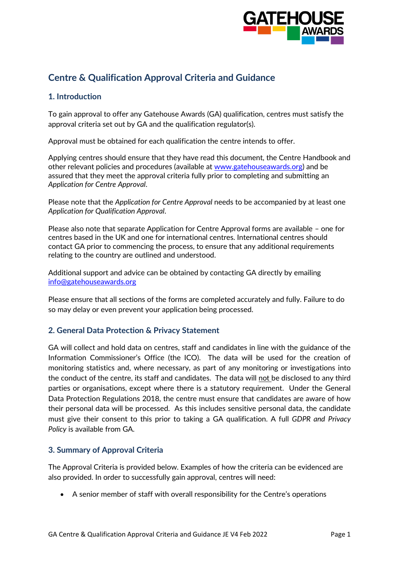

# **Centre & Qualification Approval Criteria and Guidance**

## **1. Introduction**

To gain approval to offer any Gatehouse Awards (GA) qualification, centres must satisfy the approval criteria set out by GA and the qualification regulator(s).

Approval must be obtained for each qualification the centre intends to offer.

Applying centres should ensure that they have read this document, the Centre Handbook and other relevant policies and procedures (available at [www.gatehouseawards.org\)](http://www.gatehouseawards.org/) and be assured that they meet the approval criteria fully prior to completing and submitting an *Application for Centre Approval*.

Please note that the *Application for Centre Approval* needs to be accompanied by at least one *Application for Qualification Approval*.

Please also note that separate Application for Centre Approval forms are available – one for centres based in the UK and one for international centres. International centres should contact GA prior to commencing the process, to ensure that any additional requirements relating to the country are outlined and understood.

Additional support and advice can be obtained by contacting GA directly by emailing [info@gatehouseawards.org](mailto:info@gatehouseawards.org)

Please ensure that all sections of the forms are completed accurately and fully. Failure to do so may delay or even prevent your application being processed.

### **2. General Data Protection & Privacy Statement**

GA will collect and hold data on centres, staff and candidates in line with the guidance of the Information Commissioner's Office (the ICO). The data will be used for the creation of monitoring statistics and, where necessary, as part of any monitoring or investigations into the conduct of the centre, its staff and candidates. The data will not be disclosed to any third parties or organisations, except where there is a statutory requirement. Under the General Data Protection Regulations 2018, the centre must ensure that candidates are aware of how their personal data will be processed. As this includes sensitive personal data, the candidate must give their consent to this prior to taking a GA qualification. A full *GDPR and Privacy Policy* is available from GA.

### **3. Summary of Approval Criteria**

The Approval Criteria is provided below. Examples of how the criteria can be evidenced are also provided. In order to successfully gain approval, centres will need:

• A senior member of staff with overall responsibility for the Centre's operations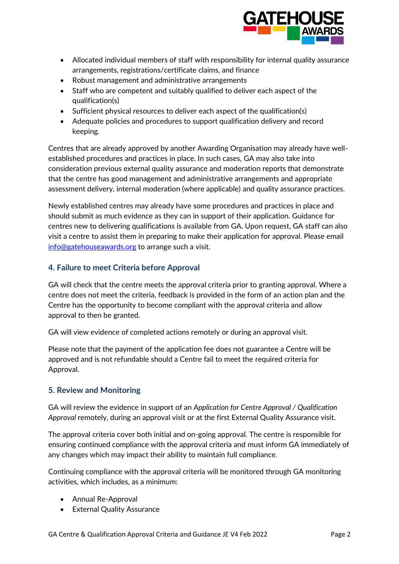

- Allocated individual members of staff with responsibility for internal quality assurance arrangements, registrations/certificate claims, and finance
- Robust management and administrative arrangements
- Staff who are competent and suitably qualified to deliver each aspect of the qualification(s)
- Sufficient physical resources to deliver each aspect of the qualification(s)
- Adequate policies and procedures to support qualification delivery and record keeping.

Centres that are already approved by another Awarding Organisation may already have wellestablished procedures and practices in place. In such cases, GA may also take into consideration previous external quality assurance and moderation reports that demonstrate that the centre has good management and administrative arrangements and appropriate assessment delivery, internal moderation (where applicable) and quality assurance practices.

Newly established centres may already have some procedures and practices in place and should submit as much evidence as they can in support of their application. Guidance for centres new to delivering qualifications is available from GA. Upon request, GA staff can also visit a centre to assist them in preparing to make their application for approval. Please email [info@gatehouseawards.org](mailto:info@gatehouseawards.org) to arrange such a visit.

## **4. Failure to meet Criteria before Approval**

GA will check that the centre meets the approval criteria prior to granting approval. Where a centre does not meet the criteria, feedback is provided in the form of an action plan and the Centre has the opportunity to become compliant with the approval criteria and allow approval to then be granted.

GA will view evidence of completed actions remotely or during an approval visit.

Please note that the payment of the application fee does not guarantee a Centre will be approved and is not refundable should a Centre fail to meet the required criteria for Approval.

## **5. Review and Monitoring**

GA will review the evidence in support of an *Application for Centre Approval / Qualification Approval* remotely, during an approval visit or at the first External Quality Assurance visit.

The approval criteria cover both initial and on-going approval. The centre is responsible for ensuring continued compliance with the approval criteria and must inform GA immediately of any changes which may impact their ability to maintain full compliance.

Continuing compliance with the approval criteria will be monitored through GA monitoring activities, which includes, as a minimum:

- Annual Re-Approval
- External Quality Assurance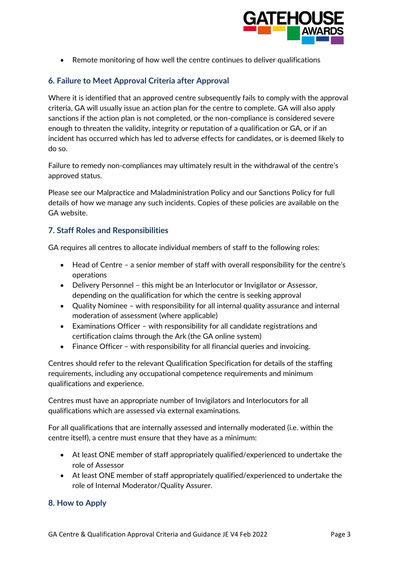

• Remote monitoring of how well the centre continues to deliver qualifications

# **6. Failure to Meet Approval Criteria after Approval**

Where it is identified that an approved centre subsequently fails to comply with the approval criteria, GA will usually issue an action plan for the centre to complete. GA will also apply sanctions if the action plan is not completed, or the non-compliance is considered severe enough to threaten the validity, integrity or reputation of a qualification or GA, or if an incident has occurred which has led to adverse effects for candidates, or is deemed likely to do so.

Failure to remedy non-compliances may ultimately result in the withdrawal of the centre's approved status.

Please see our Malpractice and Maladministration Policy and our Sanctions Policy for full details of how we manage any such incidents. Copies of these policies are available on the GA website.

## **7. Staff Roles and Responsibilities**

GA requires all centres to allocate individual members of staff to the following roles:

- Head of Centre a senior member of staff with overall responsibility for the centre's operations
- Delivery Personnel this might be an Interlocutor or Invigilator or Assessor, depending on the qualification for which the centre is seeking approval
- Quality Nominee with responsibility for all internal quality assurance and internal moderation of assessment (where applicable)
- Examinations Officer with responsibility for all candidate registrations and certification claims through the Ark (the GA online system)
- Finance Officer with responsibility for all financial queries and invoicing.

Centres should refer to the relevant Qualification Specification for details of the staffing requirements, including any occupational competence requirements and minimum qualifications and experience.

Centres must have an appropriate number of Invigilators and Interlocutors for all qualifications which are assessed via external examinations.

For all qualifications that are internally assessed and internally moderated (i.e. within the centre itself), a centre must ensure that they have as a minimum:

- At least ONE member of staff appropriately qualified/experienced to undertake the role of Assessor
- At least ONE member of staff appropriately qualified/experienced to undertake the role of Internal Moderator/Quality Assurer.

## **8. How to Apply**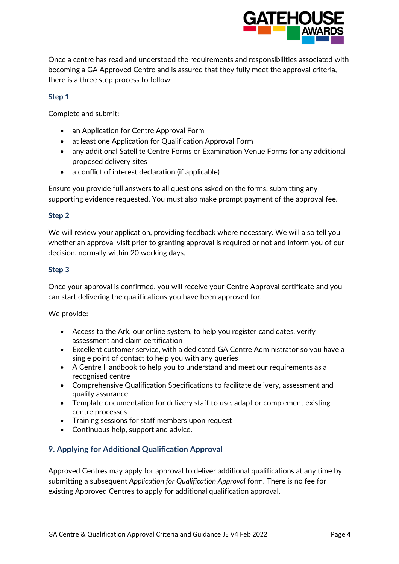

Once a centre has read and understood the requirements and responsibilities associated with becoming a GA Approved Centre and is assured that they fully meet the approval criteria, there is a three step process to follow:

#### **Step 1**

Complete and submit:

- an Application for Centre Approval Form
- at least one Application for Qualification Approval Form
- any additional Satellite Centre Forms or Examination Venue Forms for any additional proposed delivery sites
- a conflict of interest declaration (if applicable)

Ensure you provide full answers to all questions asked on the forms, submitting any supporting evidence requested. You must also make prompt payment of the approval fee.

#### **Step 2**

We will review your application, providing feedback where necessary. We will also tell you whether an approval visit prior to granting approval is required or not and inform you of our decision, normally within 20 working days.

#### **Step 3**

Once your approval is confirmed, you will receive your Centre Approval certificate and you can start delivering the qualifications you have been approved for.

We provide:

- Access to the Ark, our online system, to help you register candidates, verify assessment and claim certification
- Excellent customer service, with a dedicated GA Centre Administrator so you have a single point of contact to help you with any queries
- A Centre Handbook to help you to understand and meet our requirements as a recognised centre
- Comprehensive Qualification Specifications to facilitate delivery, assessment and quality assurance
- Template documentation for delivery staff to use, adapt or complement existing centre processes
- Training sessions for staff members upon request
- Continuous help, support and advice.

### **9. Applying for Additional Qualification Approval**

Approved Centres may apply for approval to deliver additional qualifications at any time by submitting a subsequent *Application for Qualification Approval* form. There is no fee for existing Approved Centres to apply for additional qualification approval.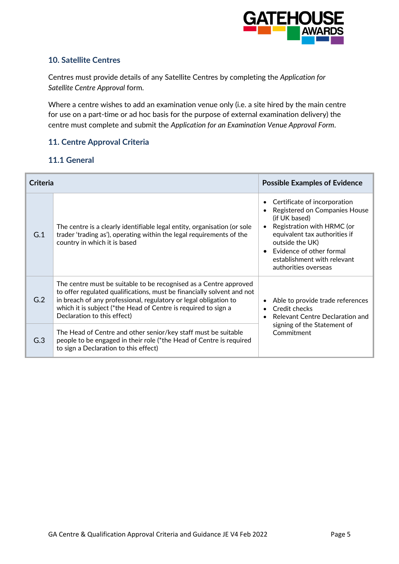

## **10. Satellite Centres**

Centres must provide details of any Satellite Centres by completing the *Application for Satellite Centre Approval* form.

Where a centre wishes to add an examination venue only (i.e. a site hired by the main centre for use on a part-time or ad hoc basis for the purpose of external examination delivery) the centre must complete and submit the *Application for an Examination Venue Approval Form*.

## **11. Centre Approval Criteria**

## **11.1 General**

| <b>Criteria</b> |                                                                                                                                                                                                                                                                                                                  | <b>Possible Examples of Evidence</b>                                                                                                                                                                                                                             |
|-----------------|------------------------------------------------------------------------------------------------------------------------------------------------------------------------------------------------------------------------------------------------------------------------------------------------------------------|------------------------------------------------------------------------------------------------------------------------------------------------------------------------------------------------------------------------------------------------------------------|
| G.1             | The centre is a clearly identifiable legal entity, organisation (or sole<br>trader 'trading as'), operating within the legal requirements of the<br>country in which it is based                                                                                                                                 | Certificate of incorporation<br>$\bullet$<br>Registered on Companies House<br>(if UK based)<br>Registration with HRMC (or<br>equivalent tax authorities if<br>outside the UK)<br>Evidence of other formal<br>establishment with relevant<br>authorities overseas |
| G.2             | The centre must be suitable to be recognised as a Centre approved<br>to offer regulated qualifications, must be financially solvent and not<br>in breach of any professional, regulatory or legal obligation to<br>which it is subject (*the Head of Centre is required to sign a<br>Declaration to this effect) | Able to provide trade references<br>Credit checks<br>Relevant Centre Declaration and                                                                                                                                                                             |
| G.3             | The Head of Centre and other senior/key staff must be suitable<br>people to be engaged in their role (*the Head of Centre is required<br>to sign a Declaration to this effect)                                                                                                                                   | signing of the Statement of<br>Commitment                                                                                                                                                                                                                        |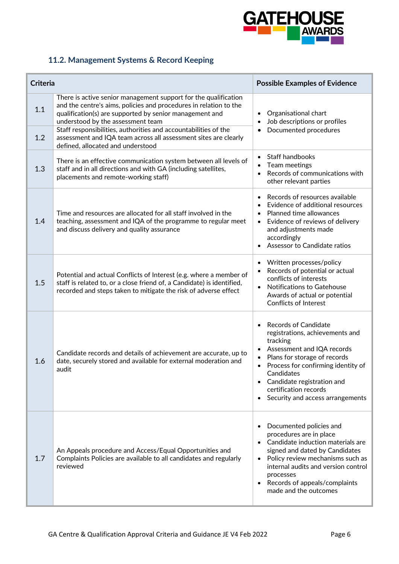

# **11.2. Management Systems & Record Keeping**

| <b>Criteria</b> |                                                                                                                                                                                                                                                                                                                                                                                                                 | <b>Possible Examples of Evidence</b>                                                                                                                                                                                                                                                                                                                     |
|-----------------|-----------------------------------------------------------------------------------------------------------------------------------------------------------------------------------------------------------------------------------------------------------------------------------------------------------------------------------------------------------------------------------------------------------------|----------------------------------------------------------------------------------------------------------------------------------------------------------------------------------------------------------------------------------------------------------------------------------------------------------------------------------------------------------|
| 1.1<br>1.2      | There is active senior management support for the qualification<br>and the centre's aims, policies and procedures in relation to the<br>qualification(s) are supported by senior management and<br>understood by the assessment team<br>Staff responsibilities, authorities and accountabilities of the<br>assessment and IQA team across all assessment sites are clearly<br>defined, allocated and understood | Organisational chart<br>$\bullet$<br>Job descriptions or profiles<br>$\bullet$<br>Documented procedures<br>$\bullet$                                                                                                                                                                                                                                     |
| 1.3             | There is an effective communication system between all levels of<br>staff and in all directions and with GA (including satellites,<br>placements and remote-working staff)                                                                                                                                                                                                                                      | Staff handbooks<br>$\bullet$<br>Team meetings<br>$\bullet$<br>Records of communications with<br>$\bullet$<br>other relevant parties                                                                                                                                                                                                                      |
| 1.4             | Time and resources are allocated for all staff involved in the<br>teaching, assessment and IQA of the programme to regular meet<br>and discuss delivery and quality assurance                                                                                                                                                                                                                                   | Records of resources available<br>$\bullet$<br>Evidence of additional resources<br>Planned time allowances<br>$\bullet$<br>Evidence of reviews of delivery<br>$\bullet$<br>and adjustments made<br>accordingly<br>Assessor to Candidate ratios                                                                                                           |
| 1.5             | Potential and actual Conflicts of Interest (e.g. where a member of<br>staff is related to, or a close friend of, a Candidate) is identified,<br>recorded and steps taken to mitigate the risk of adverse effect                                                                                                                                                                                                 | Written processes/policy<br>$\bullet$<br>Records of potential or actual<br>$\bullet$<br>conflicts of interests<br><b>Notifications to Gatehouse</b><br>$\bullet$<br>Awards of actual or potential<br><b>Conflicts of Interest</b>                                                                                                                        |
| 1.6             | Candidate records and details of achievement are accurate, up to<br>date, securely stored and available for external moderation and<br>audit                                                                                                                                                                                                                                                                    | <b>Records of Candidate</b><br>$\bullet$<br>registrations, achievements and<br>tracking<br>Assessment and IQA records<br>$\bullet$<br>Plans for storage of records<br>Process for confirming identity of<br>$\bullet$<br>Candidates<br>Candidate registration and<br>$\bullet$<br>certification records<br>Security and access arrangements<br>$\bullet$ |
| 1.7             | An Appeals procedure and Access/Equal Opportunities and<br>Complaints Policies are available to all candidates and regularly<br>reviewed                                                                                                                                                                                                                                                                        | Documented policies and<br>$\bullet$<br>procedures are in place<br>Candidate induction materials are<br>$\bullet$<br>signed and dated by Candidates<br>Policy review mechanisms such as<br>$\bullet$<br>internal audits and version control<br>processes<br>Records of appeals/complaints<br>$\bullet$<br>made and the outcomes                          |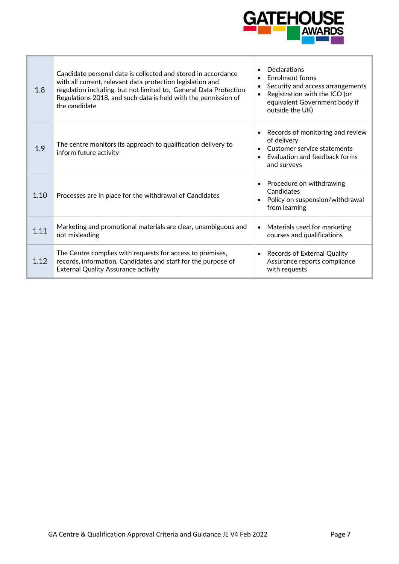

| 1.8  | Candidate personal data is collected and stored in accordance<br>with all current, relevant data protection legislation and<br>regulation including, but not limited to, General Data Protection<br>Regulations 2018, and such data is held with the permission of<br>the candidate | <b>Declarations</b><br>Enrolment forms<br>Security and access arrangements<br>Registration with the ICO (or<br>equivalent Government body if<br>outside the UK) |
|------|-------------------------------------------------------------------------------------------------------------------------------------------------------------------------------------------------------------------------------------------------------------------------------------|-----------------------------------------------------------------------------------------------------------------------------------------------------------------|
| 1.9  | The centre monitors its approach to qualification delivery to<br>inform future activity                                                                                                                                                                                             | Records of monitoring and review<br>of delivery<br>Customer service statements<br>Evaluation and feedback forms<br>and surveys                                  |
| 1.10 | Processes are in place for the withdrawal of Candidates                                                                                                                                                                                                                             | Procedure on withdrawing<br>$\bullet$<br>Candidates<br>Policy on suspension/withdrawal<br>from learning                                                         |
| 1.11 | Marketing and promotional materials are clear, unambiguous and<br>not misleading                                                                                                                                                                                                    | Materials used for marketing<br>$\bullet$<br>courses and qualifications                                                                                         |
| 1.12 | The Centre complies with requests for access to premises,<br>records, information, Candidates and staff for the purpose of<br><b>External Quality Assurance activity</b>                                                                                                            | • Records of External Quality<br>Assurance reports compliance<br>with requests                                                                                  |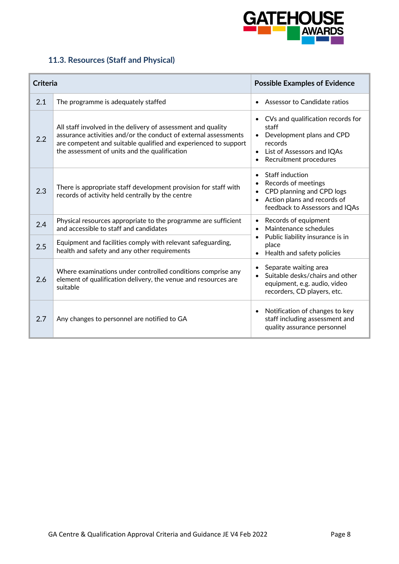

# **11.3. Resources (Staff and Physical)**

| <b>Criteria</b> |                                                                                                                                                                                                                                                     | <b>Possible Examples of Evidence</b>                                                                                                              |
|-----------------|-----------------------------------------------------------------------------------------------------------------------------------------------------------------------------------------------------------------------------------------------------|---------------------------------------------------------------------------------------------------------------------------------------------------|
| 2.1             | The programme is adequately staffed                                                                                                                                                                                                                 | Assessor to Candidate ratios                                                                                                                      |
| 2.2             | All staff involved in the delivery of assessment and quality<br>assurance activities and/or the conduct of external assessments<br>are competent and suitable qualified and experienced to support<br>the assessment of units and the qualification | • CVs and qualification records for<br>staff<br>Development plans and CPD<br>records<br>• List of Assessors and IQAs<br>Recruitment procedures    |
| 2.3             | There is appropriate staff development provision for staff with<br>records of activity held centrally by the centre                                                                                                                                 | Staff induction<br>$\bullet$<br>Records of meetings<br>CPD planning and CPD logs<br>Action plans and records of<br>feedback to Assessors and IQAs |
| 2.4             | Physical resources appropriate to the programme are sufficient<br>and accessible to staff and candidates                                                                                                                                            | Records of equipment<br>Maintenance schedules                                                                                                     |
| 2.5             | Equipment and facilities comply with relevant safeguarding,<br>health and safety and any other requirements                                                                                                                                         | Public liability insurance is in<br>place<br>Health and safety policies                                                                           |
| 2.6             | Where examinations under controlled conditions comprise any<br>element of qualification delivery, the venue and resources are<br>suitable                                                                                                           | Separate waiting area<br>Suitable desks/chairs and other<br>equipment, e.g. audio, video<br>recorders, CD players, etc.                           |
| 2.7             | Any changes to personnel are notified to GA                                                                                                                                                                                                         | Notification of changes to key<br>staff including assessment and<br>quality assurance personnel                                                   |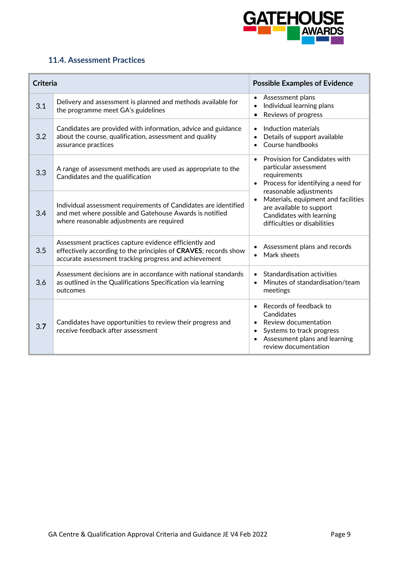

## **11.4. Assessment Practices**

| <b>Criteria</b> |                                                                                                                                                                                   | <b>Possible Examples of Evidence</b>                                                                                                                            |
|-----------------|-----------------------------------------------------------------------------------------------------------------------------------------------------------------------------------|-----------------------------------------------------------------------------------------------------------------------------------------------------------------|
| 3.1             | Delivery and assessment is planned and methods available for<br>the programme meet GA's guidelines                                                                                | Assessment plans<br>Individual learning plans<br>Reviews of progress                                                                                            |
| 3.2             | Candidates are provided with information, advice and guidance<br>about the course, qualification, assessment and quality<br>assurance practices                                   | Induction materials<br>Details of support available<br>Course handbooks                                                                                         |
| 3.3             | A range of assessment methods are used as appropriate to the<br>Candidates and the qualification                                                                                  | Provision for Candidates with<br>particular assessment<br>requirements<br>Process for identifying a need for<br>reasonable adjustments                          |
| 3.4             | Individual assessment requirements of Candidates are identified<br>and met where possible and Gatehouse Awards is notified<br>where reasonable adjustments are required           | Materials, equipment and facilities<br>are available to support<br>Candidates with learning<br>difficulties or disabilities                                     |
| 3.5             | Assessment practices capture evidence efficiently and<br>effectively according to the principles of CRAVES; records show<br>accurate assessment tracking progress and achievement | Assessment plans and records<br>Mark sheets                                                                                                                     |
| 3.6             | Assessment decisions are in accordance with national standards<br>as outlined in the Qualifications Specification via learning<br>outcomes                                        | <b>Standardisation activities</b><br>$\bullet$<br>Minutes of standardisation/team<br>$\bullet$<br>meetings                                                      |
| 3.7             | Candidates have opportunities to review their progress and<br>receive feedback after assessment                                                                                   | Records of feedback to<br>$\bullet$<br>Candidates<br>Review documentation<br>Systems to track progress<br>Assessment plans and learning<br>review documentation |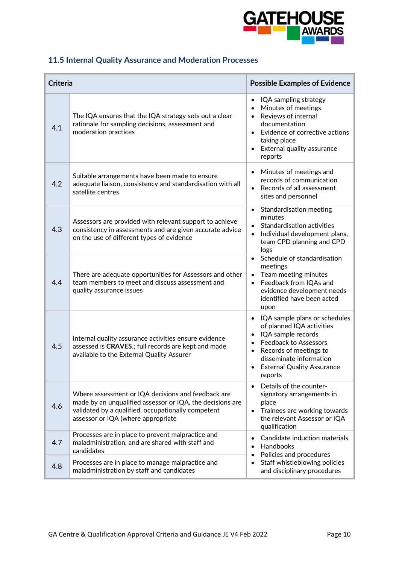

# **11.5 Internal Quality Assurance and Moderation Processes**

| <b>Criteria</b> |                                                                                                                                                                                                             | <b>Possible Examples of Evidence</b>                                                                                                                                                                                                                                      |
|-----------------|-------------------------------------------------------------------------------------------------------------------------------------------------------------------------------------------------------------|---------------------------------------------------------------------------------------------------------------------------------------------------------------------------------------------------------------------------------------------------------------------------|
| 4.1             | The IQA ensures that the IQA strategy sets out a clear<br>rationale for sampling decisions, assessment and<br>moderation practices                                                                          | IQA sampling strategy<br>Minutes of meetings<br>Reviews of internal<br>documentation<br>Evidence of corrective actions<br>taking place<br>External quality assurance<br>reports                                                                                           |
| 4.2             | Suitable arrangements have been made to ensure<br>adequate liaison, consistency and standardisation with all<br>satellite centres                                                                           | Minutes of meetings and<br>$\bullet$<br>records of communication<br>Records of all assessment<br>sites and personnel                                                                                                                                                      |
| 4.3             | Assessors are provided with relevant support to achieve<br>consistency in assessments and are given accurate advice<br>on the use of different types of evidence                                            | <b>Standardisation meeting</b><br>$\bullet$<br>minutes<br>Standardisation activities<br>Individual development plans,<br>$\bullet$<br>team CPD planning and CPD<br>logs                                                                                                   |
| 4.4             | There are adequate opportunities for Assessors and other<br>team members to meet and discuss assessment and<br>quality assurance issues                                                                     | Schedule of standardisation<br>$\bullet$<br>meetings<br>Team meeting minutes<br>$\bullet$<br>Feedback from IQAs and<br>$\bullet$<br>evidence development needs<br>identified have been acted<br>upon                                                                      |
| 4.5             | Internal quality assurance activities ensure evidence<br>assessed is CRAVES.; full records are kept and made<br>available to the External Quality Assurer                                                   | IQA sample plans or schedules<br>$\bullet$<br>of planned IQA activities<br>IQA sample records<br>$\bullet$<br><b>Feedback to Assessors</b><br>$\bullet$<br>Records of meetings to<br>$\bullet$<br>disseminate information<br><b>External Quality Assurance</b><br>reports |
| 4.6             | Where assessment or IQA decisions and feedback are<br>made by an unqualified assessor or IQA, the decisions are<br>validated by a qualified, occupationally competent<br>assessor or IQA (where appropriate | Details of the counter-<br>signatory arrangements in<br>place<br>Trainees are working towards<br>$\bullet$<br>the relevant Assessor or IQA<br>qualification                                                                                                               |
| 4.7             | Processes are in place to prevent malpractice and<br>maladministration, and are shared with staff and<br>candidates                                                                                         | Candidate induction materials<br>$\bullet$<br>Handbooks<br>$\bullet$<br>Policies and procedures<br>$\bullet$                                                                                                                                                              |
| 4.8             | Processes are in place to manage malpractice and<br>maladministration by staff and candidates                                                                                                               | Staff whistleblowing policies<br>$\bullet$<br>and disciplinary procedures                                                                                                                                                                                                 |